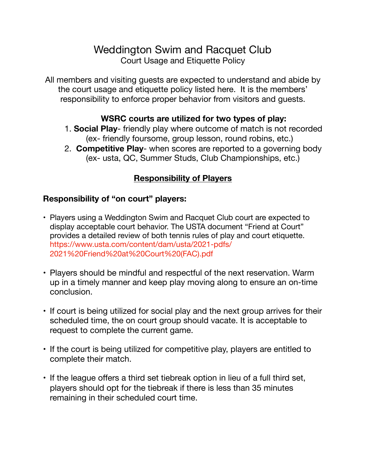# Weddington Swim and Racquet Club Court Usage and Etiquette Policy

All members and visiting guests are expected to understand and abide by the court usage and etiquette policy listed here. It is the members' responsibility to enforce proper behavior from visitors and guests.

### **WSRC courts are utilized for two types of play:**

- 1. **Social Play** friendly play where outcome of match is not recorded (ex- friendly foursome, group lesson, round robins, etc.)
- 2. **Competitive Play** when scores are reported to a governing body (ex- usta, QC, Summer Studs, Club Championships, etc.)

# **Responsibility of Players**

# **Responsibility of "on court" players:**

- Players using a Weddington Swim and Racquet Club court are expected to display acceptable court behavior. The USTA document "Friend at Court" provides a detailed review of both tennis rules of play and court etiquette. https://www.usta.com/content/dam/usta/2021-pdfs/ 2021%20Friend%20at%20Court%20(FAC).pdf
- Players should be mindful and respectful of the next reservation. Warm up in a timely manner and keep play moving along to ensure an on-time conclusion.
- If court is being utilized for social play and the next group arrives for their scheduled time, the on court group should vacate. It is acceptable to request to complete the current game.
- If the court is being utilized for competitive play, players are entitled to complete their match.
- If the league offers a third set tiebreak option in lieu of a full third set, players should opt for the tiebreak if there is less than 35 minutes remaining in their scheduled court time.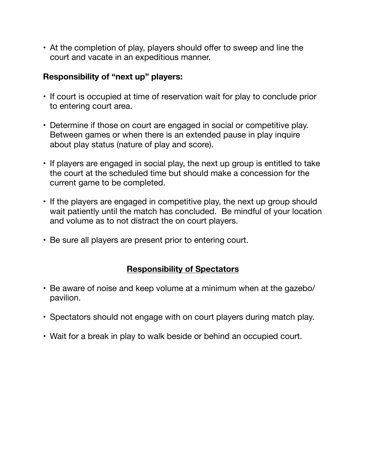• At the completion of play, players should offer to sweep and line the court and vacate in an expeditious manner.

### **Responsibility of "next up" players:**

- If court is occupied at time of reservation wait for play to conclude prior to entering court area.
- Determine if those on court are engaged in social or competitive play. Between games or when there is an extended pause in play inquire about play status (nature of play and score).
- If players are engaged in social play, the next up group is entitled to take the court at the scheduled time but should make a concession for the current game to be completed.
- If the players are engaged in competitive play, the next up group should wait patiently until the match has concluded. Be mindful of your location and volume as to not distract the on court players.
- Be sure all players are present prior to entering court.

#### **Responsibility of Spectators**

- Be aware of noise and keep volume at a minimum when at the gazebo/ pavilion.
- Spectators should not engage with on court players during match play.
- Wait for a break in play to walk beside or behind an occupied court.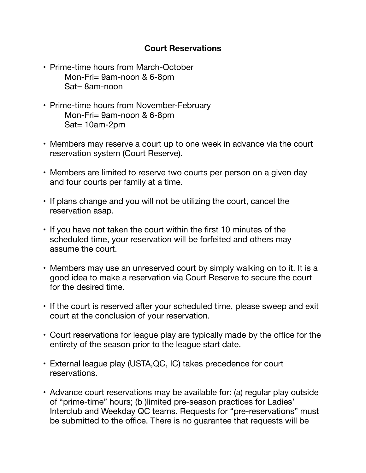### **Court Reservations**

- Prime-time hours from March-October Mon-Fri= 9am-noon & 6-8pm Sat= 8am-noon
- Prime-time hours from November-February Mon-Fri= 9am-noon & 6-8pm Sat= 10am-2pm
- Members may reserve a court up to one week in advance via the court reservation system (Court Reserve).
- Members are limited to reserve two courts per person on a given day and four courts per family at a time.
- If plans change and you will not be utilizing the court, cancel the reservation asap.
- If you have not taken the court within the first 10 minutes of the scheduled time, your reservation will be forfeited and others may assume the court.
- Members may use an unreserved court by simply walking on to it. It is a good idea to make a reservation via Court Reserve to secure the court for the desired time.
- If the court is reserved after your scheduled time, please sweep and exit court at the conclusion of your reservation.
- Court reservations for league play are typically made by the office for the entirety of the season prior to the league start date.
- External league play (USTA,QC, IC) takes precedence for court reservations.
- Advance court reservations may be available for: (a) regular play outside of "prime-time" hours; (b )limited pre-season practices for Ladies' Interclub and Weekday QC teams. Requests for "pre-reservations" must be submitted to the office. There is no guarantee that requests will be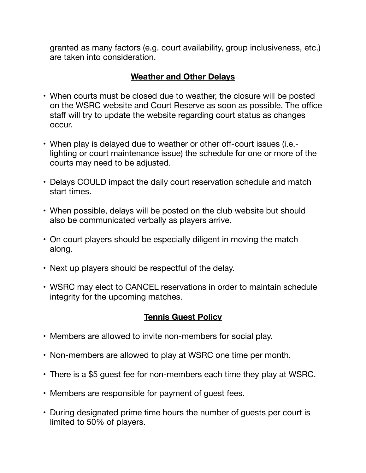granted as many factors (e.g. court availability, group inclusiveness, etc.) are taken into consideration.

# **Weather and Other Delays**

- When courts must be closed due to weather, the closure will be posted on the WSRC website and Court Reserve as soon as possible. The office staff will try to update the website regarding court status as changes occur.
- When play is delayed due to weather or other off-court issues (i.e. lighting or court maintenance issue) the schedule for one or more of the courts may need to be adjusted.
- Delays COULD impact the daily court reservation schedule and match start times.
- When possible, delays will be posted on the club website but should also be communicated verbally as players arrive.
- On court players should be especially diligent in moving the match along.
- Next up players should be respectful of the delay.
- WSRC may elect to CANCEL reservations in order to maintain schedule integrity for the upcoming matches.

# **Tennis Guest Policy**

- Members are allowed to invite non-members for social play.
- Non-members are allowed to play at WSRC one time per month.
- There is a \$5 guest fee for non-members each time they play at WSRC.
- Members are responsible for payment of guest fees.
- During designated prime time hours the number of guests per court is limited to 50% of players.